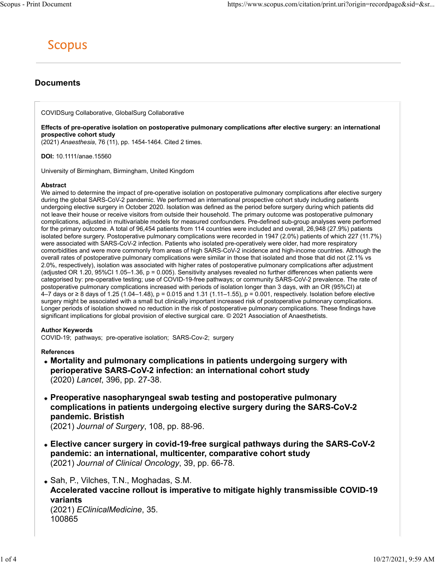## Documents

COVIDSurg Collaborative, GlobalSurg Collaborative

Effects of pre-operative isolation on postoperative pulmonary complications after elective surgery: an international prospective cohort study

(2021) Anaesthesia, 76 (11), pp. 1454-1464. Cited 2 times.

DOI: 10.1111/anae.15560

University of Birmingham, Birmingham, United Kingdom

#### Abstract

We aimed to determine the impact of pre-operative isolation on postoperative pulmonary complications after elective surgery during the global SARS-CoV-2 pandemic. We performed an international prospective cohort study including patients undergoing elective surgery in October 2020. Isolation was defined as the period before surgery during which patients did not leave their house or receive visitors from outside their household. The primary outcome was postoperative pulmonary complications, adjusted in multivariable models for measured confounders. Pre-defined sub-group analyses were performed for the primary outcome. A total of 96,454 patients from 114 countries were included and overall, 26,948 (27.9%) patients isolated before surgery. Postoperative pulmonary complications were recorded in 1947 (2.0%) patients of which 227 (11.7%) were associated with SARS-CoV-2 infection. Patients who isolated pre-operatively were older, had more respiratory comorbidities and were more commonly from areas of high SARS-CoV-2 incidence and high-income countries. Although the overall rates of postoperative pulmonary complications were similar in those that isolated and those that did not (2.1% vs 2.0%, respectively), isolation was associated with higher rates of postoperative pulmonary complications after adjustment (adjusted OR 1.20, 95%CI 1.05–1.36, p = 0.005). Sensitivity analyses revealed no further differences when patients were categorised by: pre-operative testing; use of COVID-19-free pathways; or community SARS-CoV-2 prevalence. The rate of postoperative pulmonary complications increased with periods of isolation longer than 3 days, with an OR (95%CI) at 4–7 days or ≥ 8 days of 1.25 (1.04–1.48), p = 0.015 and 1.31 (1.11–1.55), p = 0.001, respectively. Isolation before elective surgery might be associated with a small but clinically important increased risk of postoperative pulmonary complications. Longer periods of isolation showed no reduction in the risk of postoperative pulmonary complications. These findings have significant implications for global provision of elective surgical care. © 2021 Association of Anaesthetists.

#### Author Keywords

COVID-19; pathways; pre-operative isolation; SARS-Cov-2; surgery

### References

- Mortality and pulmonary complications in patients undergoing surgery with perioperative SARS-CoV-2 infection: an international cohort study (2020) Lancet, 396, pp. 27-38.
- Preoperative nasopharyngeal swab testing and postoperative pulmonary complications in patients undergoing elective surgery during the SARS-CoV-2 pandemic. Bristish

(2021) Journal of Surgery, 108, pp. 88-96.

- Elective cancer surgery in covid-19-free surgical pathways during the SARS-CoV-2 pandemic: an international, multicenter, comparative cohort study (2021) Journal of Clinical Oncology, 39, pp. 66-78.
- Sah, P., Vilches, T.N., Moghadas, S.M. Accelerated vaccine rollout is imperative to mitigate highly transmissible COVID-19 variants (2021) EClinicalMedicine, 35. 100865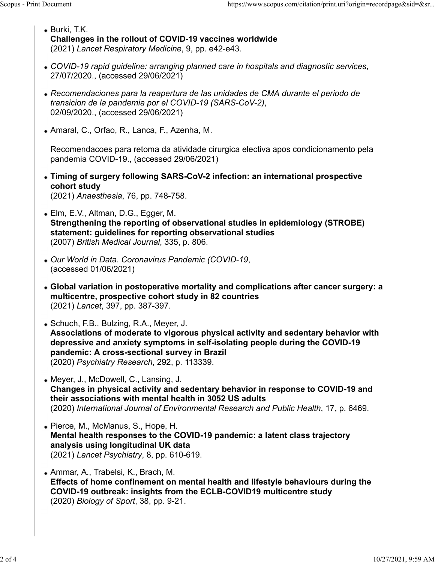- Burki, T.K. Challenges in the rollout of COVID-19 vaccines worldwide (2021) Lancet Respiratory Medicine, 9, pp. e42-e43. Scopus - Print Document<br>
• Burki, T.K.<br>
• Burki, T.K.<br>
Challenges in the rollout of COVID-19 vaccines worldwide<br>
(2021) Lancet Respiratory Medicine. 9. pp. e42-e43.
	- COVID-19 rapid guideline: arranging planned care in hospitals and diagnostic services, 27/07/2020., (accessed 29/06/2021)
	- Recomendaciones para la reapertura de las unidades de CMA durante el periodo de transicion de la pandemia por el COVID-19 (SARS-CoV-2), 02/09/2020., (accessed 29/06/2021)
	- Amaral, C., Orfao, R., Lanca, F., Azenha, M.

Recomendacoes para retoma da atividade cirurgica electiva apos condicionamento pela pandemia COVID-19., (accessed 29/06/2021)

- Timing of surgery following SARS-CoV-2 infection: an international prospective cohort study (2021) Anaesthesia, 76, pp. 748-758.
- Elm, E.V., Altman, D.G., Egger, M. Strengthening the reporting of observational studies in epidemiology (STROBE) statement: guidelines for reporting observational studies (2007) British Medical Journal, 335, p. 806.
- Our World in Data. Coronavirus Pandemic (COVID-19, (accessed 01/06/2021)
- Global variation in postoperative mortality and complications after cancer surgery: a multicentre, prospective cohort study in 82 countries (2021) Lancet, 397, pp. 387-397.
- Schuch, F.B., Bulzing, R.A., Meyer, J. Associations of moderate to vigorous physical activity and sedentary behavior with depressive and anxiety symptoms in self-isolating people during the COVID-19 pandemic: A cross-sectional survey in Brazil (2020) Psychiatry Research, 292, p. 113339.
- Meyer, J., McDowell, C., Lansing, J. Changes in physical activity and sedentary behavior in response to COVID-19 and their associations with mental health in 3052 US adults (2020) International Journal of Environmental Research and Public Health, 17, p. 6469.
- Pierce, M., McManus, S., Hope, H. Mental health responses to the COVID-19 pandemic: a latent class trajectory analysis using longitudinal UK data (2021) Lancet Psychiatry, 8, pp. 610-619.
- Ammar, A., Trabelsi, K., Brach, M. Effects of home confinement on mental health and lifestyle behaviours during the COVID-19 outbreak: insights from the ECLB-COVID19 multicentre study (2020) Biology of Sport, 38, pp. 9-21.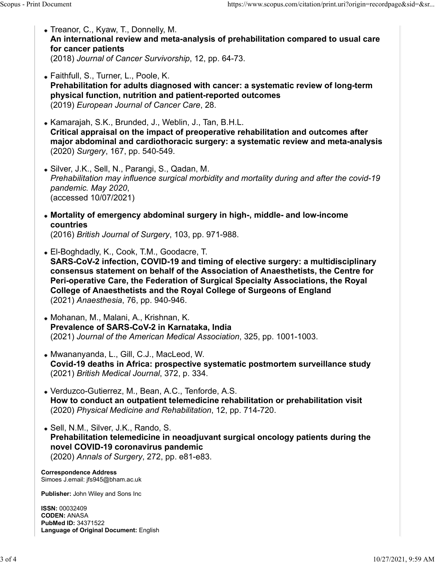- Treanor, C., Kyaw, T., Donnelly, M. An international review and meta-analysis of prehabilitation compared to usual care for cancer patients (2018) Journal of Cancer Survivorship, 12, pp. 64-73. Scopus - Print Document<br>
• Treanor, C., Kyaw, T., Donnelly, M.<br> **An international review and meta-analysis of prehabilitation compared to usual care<br>
for cancer patients** 
	- Faithfull, S., Turner, L., Poole, K. Prehabilitation for adults diagnosed with cancer: a systematic review of long-term physical function, nutrition and patient-reported outcomes (2019) European Journal of Cancer Care, 28.
	- Kamarajah, S.K., Brunded, J., Weblin, J., Tan, B.H.L. Critical appraisal on the impact of preoperative rehabilitation and outcomes after major abdominal and cardiothoracic surgery: a systematic review and meta-analysis (2020) Surgery, 167, pp. 540-549.
	- Silver, J.K., Sell, N., Parangi, S., Qadan, M. Prehabilitation may influence surgical morbidity and mortality during and after the covid-19 pandemic. May 2020, (accessed 10/07/2021)
	- Mortality of emergency abdominal surgery in high-, middle- and low-income countries (2016) British Journal of Surgery, 103, pp. 971-988.
	- El-Boghdadly, K., Cook, T.M., Goodacre, T. SARS-CoV-2 infection, COVID-19 and timing of elective surgery: a multidisciplinary consensus statement on behalf of the Association of Anaesthetists, the Centre for Peri-operative Care, the Federation of Surgical Specialty Associations, the Royal College of Anaesthetists and the Royal College of Surgeons of England (2021) Anaesthesia, 76, pp. 940-946.
	- Mohanan, M., Malani, A., Krishnan, K. Prevalence of SARS-CoV-2 in Karnataka, India (2021) Journal of the American Medical Association, 325, pp. 1001-1003.
	- Mwananyanda, L., Gill, C.J., MacLeod, W. Covid-19 deaths in Africa: prospective systematic postmortem surveillance study (2021) British Medical Journal, 372, p. 334.
	- Verduzco-Gutierrez, M., Bean, A.C., Tenforde, A.S. How to conduct an outpatient telemedicine rehabilitation or prehabilitation visit (2020) Physical Medicine and Rehabilitation, 12, pp. 714-720.
	- Sell, N.M., Silver, J.K., Rando, S. Prehabilitation telemedicine in neoadjuvant surgical oncology patients during the novel COVID-19 coronavirus pandemic (2020) Annals of Surgery, 272, pp. e81-e83.

Correspondence Address Simoes J.email: jfs945@bham.ac.uk

Publisher: John Wiley and Sons Inc

ISSN: 00032409 CODEN: ANASA PubMed ID: 34371522 Language of Original Document: English